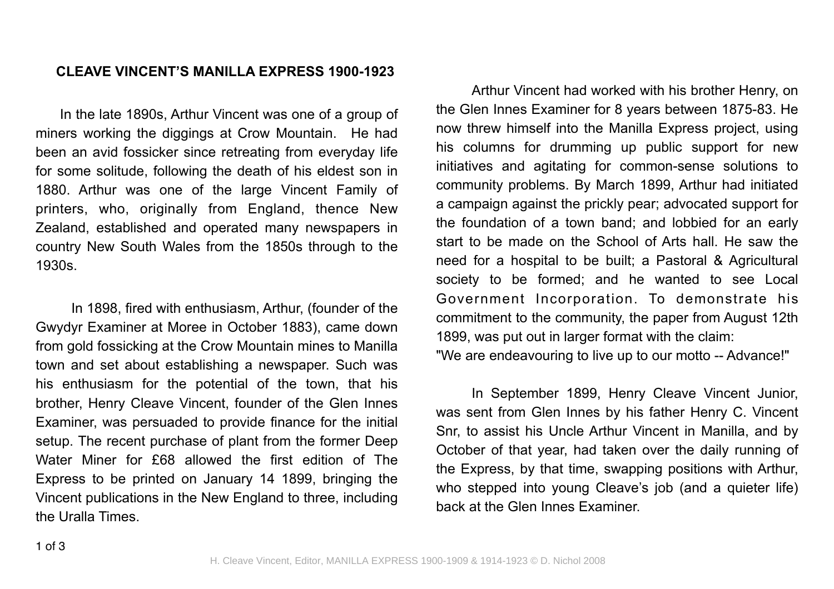## **CLEAVE VINCENT'S MANILLA EXPRESS 1900-1923**

In the late 1890s, Arthur Vincent was one of a group of miners working the diggings at Crow Mountain. He had been an avid fossicker since retreating from everyday life for some solitude, following the death of his eldest son in 1880. Arthur was one of the large Vincent Family of printers, who, originally from England, thence New Zealand, established and operated many newspapers in country New South Wales from the 1850s through to the 1930s.

In 1898, fired with enthusiasm, Arthur, (founder of the Gwydyr Examiner at Moree in October 1883), came down from gold fossicking at the Crow Mountain mines to Manilla town and set about establishing a newspaper. Such was his enthusiasm for the potential of the town, that his brother, Henry Cleave Vincent, founder of the Glen Innes Examiner, was persuaded to provide finance for the initial setup. The recent purchase of plant from the former Deep Water Miner for £68 allowed the first edition of The Express to be printed on January 14 1899, bringing the Vincent publications in the New England to three, including the Uralla Times.

Arthur Vincent had worked with his brother Henry, on the Glen Innes Examiner for 8 years between 1875-83. He now threw himself into the Manilla Express project, using his columns for drumming up public support for new initiatives and agitating for common-sense solutions to community problems. By March 1899, Arthur had initiated a campaign against the prickly pear; advocated support for the foundation of a town band; and lobbied for an early start to be made on the School of Arts hall. He saw the need for a hospital to be built; a Pastoral & Agricultural society to be formed; and he wanted to see Local Government Incorporation. To demonstrate his commitment to the community, the paper from August 12th 1899, was put out in larger format with the claim:

"We are endeavouring to live up to our motto -- Advance!"

In September 1899, Henry Cleave Vincent Junior, was sent from Glen Innes by his father Henry C. Vincent Snr, to assist his Uncle Arthur Vincent in Manilla, and by October of that year, had taken over the daily running of the Express, by that time, swapping positions with Arthur, who stepped into young Cleave's job (and a quieter life) back at the Glen Innes Examiner.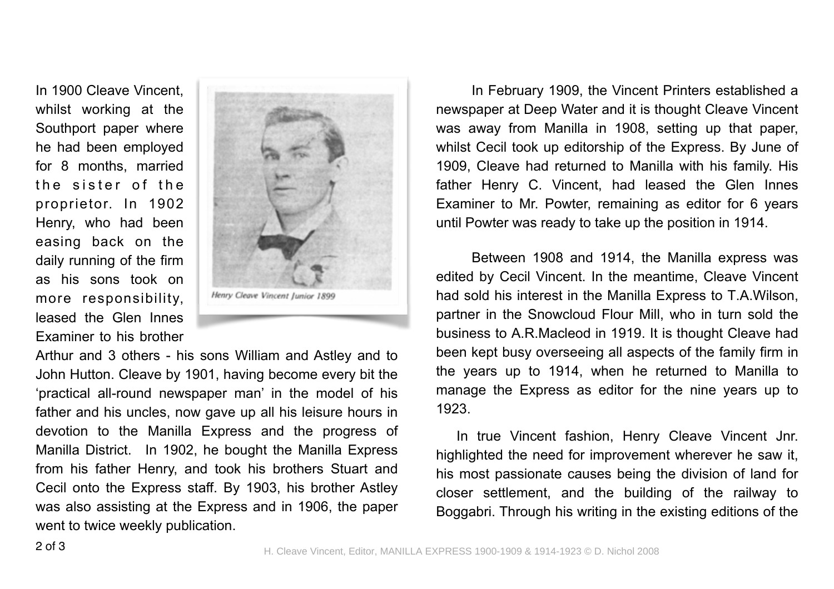In 1900 Cleave Vincent whilst working at the Southport paper where he had been employed for 8 months, married the sister of the proprietor. In 1902 Henry, who had been easing back on the daily running of the firm as his sons took on more responsibility, leased the Glen Innes Examiner to his brother



Arthur and 3 others - his sons William and Astley and to John Hutton. Cleave by 1901, having become every bit the 'practical all-round newspaper man' in the model of his father and his uncles, now gave up all his leisure hours in devotion to the Manilla Express and the progress of Manilla District. In 1902, he bought the Manilla Express from his father Henry, and took his brothers Stuart and Cecil onto the Express staff. By 1903, his brother Astley was also assisting at the Express and in 1906, the paper went to twice weekly publication.

In February 1909, the Vincent Printers established a newspaper at Deep Water and it is thought Cleave Vincent was away from Manilla in 1908, setting up that paper, whilst Cecil took up editorship of the Express. By June of 1909, Cleave had returned to Manilla with his family. His father Henry C. Vincent, had leased the Glen Innes Examiner to Mr. Powter, remaining as editor for 6 years until Powter was ready to take up the position in 1914.

Between 1908 and 1914, the Manilla express was edited by Cecil Vincent. In the meantime, Cleave Vincent had sold his interest in the Manilla Express to T.A.Wilson, partner in the Snowcloud Flour Mill, who in turn sold the business to A.R.Macleod in 1919. It is thought Cleave had been kept busy overseeing all aspects of the family firm in the years up to 1914, when he returned to Manilla to manage the Express as editor for the nine years up to 1923.

In true Vincent fashion, Henry Cleave Vincent Jnr. highlighted the need for improvement wherever he saw it, his most passionate causes being the division of land for closer settlement, and the building of the railway to Boggabri. Through his writing in the existing editions of the